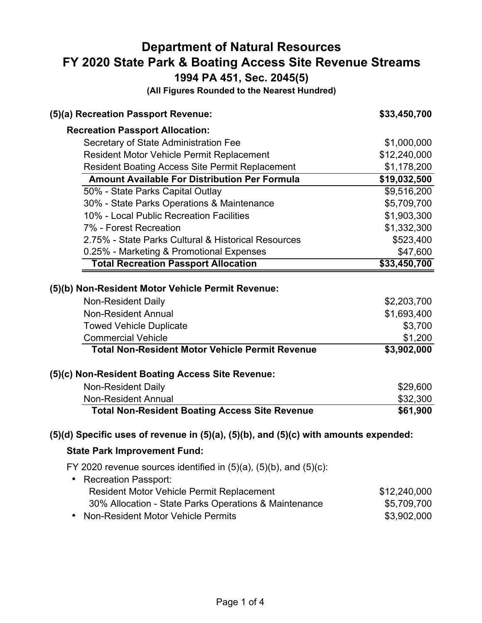# **Department of Natural Resources FY 2020 State Park & Boating Access Site Revenue Streams**

**1994 PA 451, Sec. 2045(5)** 

**(All Figures Rounded to the Nearest Hundred)** 

| (5)(a) Recreation Passport Revenue:                                                                                                                                         | \$33,450,700                                     |
|-----------------------------------------------------------------------------------------------------------------------------------------------------------------------------|--------------------------------------------------|
| <b>Recreation Passport Allocation:</b>                                                                                                                                      |                                                  |
| Secretary of State Administration Fee                                                                                                                                       | \$1,000,000                                      |
| Resident Motor Vehicle Permit Replacement                                                                                                                                   | \$12,240,000                                     |
| <b>Resident Boating Access Site Permit Replacement</b>                                                                                                                      | \$1,178,200                                      |
| <b>Amount Available For Distribution Per Formula</b>                                                                                                                        | \$19,032,500                                     |
| 50% - State Parks Capital Outlay                                                                                                                                            | \$9,516,200                                      |
| 30% - State Parks Operations & Maintenance                                                                                                                                  | \$5,709,700                                      |
| 10% - Local Public Recreation Facilities                                                                                                                                    | \$1,903,300                                      |
| 7% - Forest Recreation                                                                                                                                                      | \$1,332,300                                      |
| 2.75% - State Parks Cultural & Historical Resources                                                                                                                         | \$523,400                                        |
| 0.25% - Marketing & Promotional Expenses                                                                                                                                    | \$47,600                                         |
| <b>Total Recreation Passport Allocation</b>                                                                                                                                 | \$33,450,700                                     |
| (5)(b) Non-Resident Motor Vehicle Permit Revenue:<br><b>Non-Resident Daily</b><br><b>Non-Resident Annual</b><br><b>Towed Vehicle Duplicate</b><br><b>Commercial Vehicle</b> | \$2,203,700<br>\$1,693,400<br>\$3,700<br>\$1,200 |
| <b>Total Non-Resident Motor Vehicle Permit Revenue</b><br>(5)(c) Non-Resident Boating Access Site Revenue:                                                                  | \$3,902,000                                      |
| <b>Non-Resident Daily</b>                                                                                                                                                   | \$29,600                                         |
| <b>Non-Resident Annual</b>                                                                                                                                                  | \$32,300                                         |
| <b>Total Non-Resident Boating Access Site Revenue</b>                                                                                                                       | \$61,900                                         |
| $(5)(d)$ Specific uses of revenue in $(5)(a)$ , $(5)(b)$ , and $(5)(c)$ with amounts expended:                                                                              |                                                  |
| <b>State Park Improvement Fund:</b>                                                                                                                                         |                                                  |
| FY 2020 revenue sources identified in $(5)(a)$ , $(5)(b)$ , and $(5)(c)$ :<br>• Recreation Passport:                                                                        |                                                  |
| <b>Resident Motor Vehicle Permit Replacement</b>                                                                                                                            | \$12,240,000                                     |
| 30% Allocation - State Parks Operations & Maintenance                                                                                                                       | \$5,709,700                                      |

• Non-Resident Motor Vehicle Permits **\*10.6000 \$3,902,000**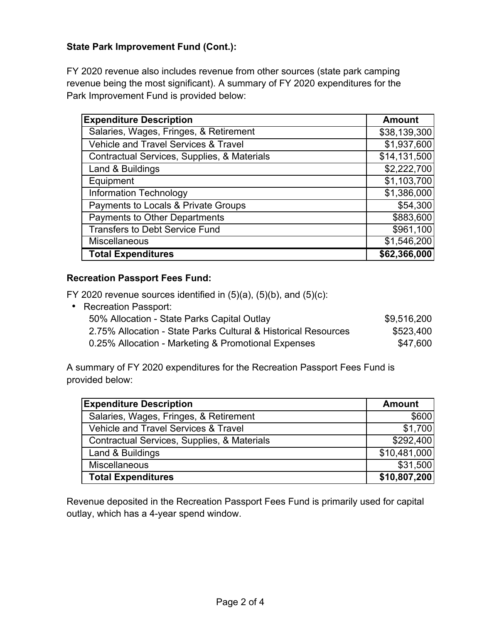### **State Park Improvement Fund (Cont.):**

FY 2020 revenue also includes revenue from other sources (state park camping revenue being the most significant). A summary of FY 2020 expenditures for the Park Improvement Fund is provided below:

| <b>Expenditure Description</b>                  | <b>Amount</b> |
|-------------------------------------------------|---------------|
| Salaries, Wages, Fringes, & Retirement          | \$38,139,300  |
| <b>Vehicle and Travel Services &amp; Travel</b> | \$1,937,600   |
| Contractual Services, Supplies, & Materials     | \$14,131,500  |
| Land & Buildings                                | \$2,222,700   |
| Equipment                                       | \$1,103,700   |
| <b>Information Technology</b>                   | \$1,386,000   |
| Payments to Locals & Private Groups             | \$54,300      |
| Payments to Other Departments                   | \$883,600     |
| <b>Transfers to Debt Service Fund</b>           | \$961,100     |
| <b>Miscellaneous</b>                            | \$1,546,200   |
| <b>Total Expenditures</b>                       | \$62,366,000  |

#### **Recreation Passport Fees Fund:**

FY 2020 revenue sources identified in  $(5)(a)$ ,  $(5)(b)$ , and  $(5)(c)$ :

• Recreation Passport: 50% Allocation - State Parks Capital Outlay **\$9,516,200**  2.75% Allocation - State Parks Cultural & Historical Resources \$523,400 0.25% Allocation - Marketing & Promotional Expenses  $$47,600$ 

A summary of FY 2020 expenditures for the Recreation Passport Fees Fund is provided below:

| <b>Expenditure Description</b>                  | <b>Amount</b> |
|-------------------------------------------------|---------------|
| Salaries, Wages, Fringes, & Retirement          | \$600         |
| <b>Vehicle and Travel Services &amp; Travel</b> | \$1,700       |
| Contractual Services, Supplies, & Materials     | \$292,400     |
| Land & Buildings                                | \$10,481,000  |
| <b>Miscellaneous</b>                            | \$31,500      |
| <b>Total Expenditures</b>                       | \$10,807,200  |

Revenue deposited in the Recreation Passport Fees Fund is primarily used for capital outlay, which has a 4-year spend window.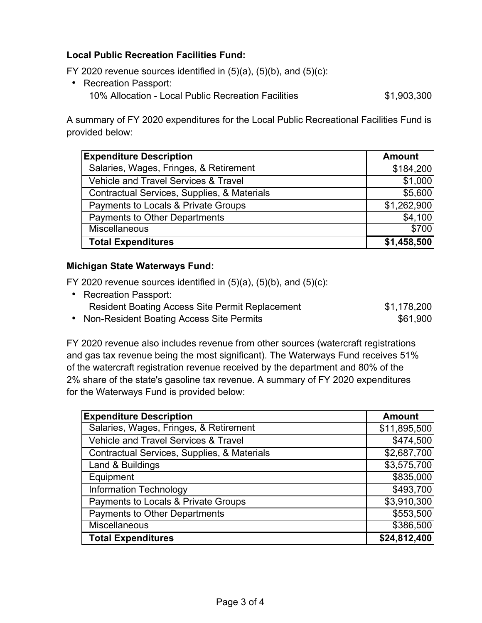# **Local Public Recreation Facilities Fund:**

FY 2020 revenue sources identified in  $(5)(a)$ ,  $(5)(b)$ , and  $(5)(c)$ :

• Recreation Passport: 10% Allocation - Local Public Recreation Facilities  $$1,903,300$ 

A summary of FY 2020 expenditures for the Local Public Recreational Facilities Fund is provided below:

| <b>Expenditure Description</b>              | <b>Amount</b> |
|---------------------------------------------|---------------|
| Salaries, Wages, Fringes, & Retirement      | \$184,200     |
| Vehicle and Travel Services & Travel        | \$1,000       |
| Contractual Services, Supplies, & Materials | \$5,600       |
| Payments to Locals & Private Groups         | \$1,262,900   |
| <b>Payments to Other Departments</b>        | \$4,100       |
| <b>Miscellaneous</b>                        | \$700         |
| <b>Total Expenditures</b>                   | \$1,458,500   |

#### **Michigan State Waterways Fund:**

FY 2020 revenue sources identified in  $(5)(a)$ ,  $(5)(b)$ , and  $(5)(c)$ :

| • Recreation Passport:                                 |             |
|--------------------------------------------------------|-------------|
| <b>Resident Boating Access Site Permit Replacement</b> | \$1,178,200 |
| • Non-Resident Boating Access Site Permits             | \$61.900    |

FY 2020 revenue also includes revenue from other sources (watercraft registrations and gas tax revenue being the most significant). The Waterways Fund receives 51% of the watercraft registration revenue received by the department and 80% of the 2% share of the state's gasoline tax revenue. A summary of FY 2020 expenditures for the Waterways Fund is provided below:

| <b>Expenditure Description</b>                  | <b>Amount</b> |
|-------------------------------------------------|---------------|
| Salaries, Wages, Fringes, & Retirement          | \$11,895,500  |
| <b>Vehicle and Travel Services &amp; Travel</b> | \$474,500     |
| Contractual Services, Supplies, & Materials     | \$2,687,700   |
| Land & Buildings                                | \$3,575,700   |
| Equipment                                       | \$835,000     |
| <b>Information Technology</b>                   | \$493,700     |
| Payments to Locals & Private Groups             | \$3,910,300   |
| <b>Payments to Other Departments</b>            | \$553,500     |
| Miscellaneous                                   | \$386,500     |
| <b>Total Expenditures</b>                       | \$24,812,400  |